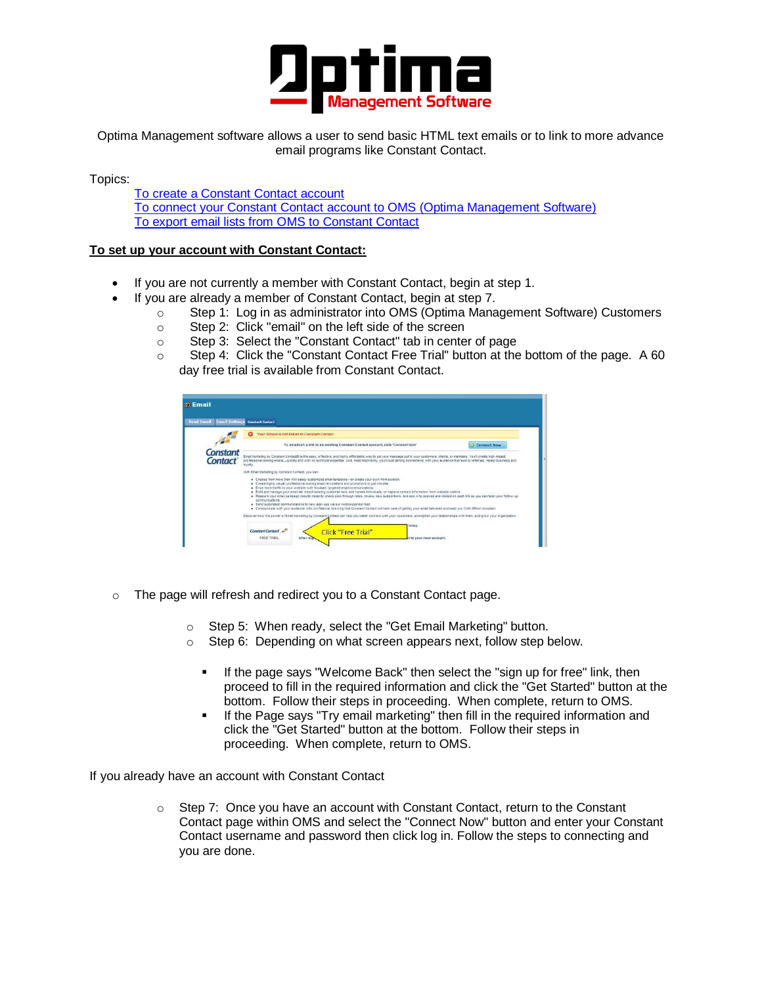

<span id="page-0-0"></span>Optima Management software allows a user to send basic HTML text emails or to link to more advance email programs like Constant Contact.

Topics:

[To create a Constant Contact account](#page-0-0) [To connect your Constant Contact account to OMS \(Optima Management Software\)](#page-0-1) [To export email lists from OMS to Constant Contact](#page-1-0)

### **To set up your account with Constant Contact:**

- If you are not currently a member with Constant Contact, begin at step 1.
- If you are already a member of Constant Contact, begin at step 7.
	- $\circ$  Step 1: Log in as administrator into OMS (Optima Management Software) Customers
	- o Step 2: Click "email" on the left side of the screen
	- o Step 3: Select the "Constant Contact" tab in center of page
	- o Step 4: Click the "Constant Contact Free Trial" button at the bottom of the page. A 60 day free trial is available from Constant Contact.

| Your School is not linked to Constant Contact<br>To establish a link to an existing Constant Contact account, click 'Connect Now'<br><b>Connect Now</b><br><b>Constant</b><br>Email Marketing by Constant Contact® is the easy, effective, and highly affordable way to get your message out to your customers, clients, or members. You'll create high-impact,<br>Contact<br>professional-looking emals-quickly and with no technical expertise. And, most importantly, you'll build strong connections with your audience that lead to referrals, repeat business and<br>lovaby.<br>With Email Marketing by Constant Contact, you can:<br>. Choose from more than 400 easily customized email templates-or create your own from scratch.<br>· Create highly visual professional-looking email newsletters and promotions in just minutes.<br>. Orive more traffic to your website with focused, fargeted email communications.<br>. Build and manage your email lat import existing customer late, add names individually, or capture contact information from website viators.<br>. Measure your email campaign results instantly-check click-through rates, review new subscribers, and see who opened and clicked on each link so you can talor your follow-up<br>communications.<br>· Send automated communications to new sign-ups via our Autoresponder tool.<br>. Communicate with your audience with confidence, knowing that Constant Contact will take care of getting your email delivered and keep you CAN-SPAM compliant.<br>Discover how the power of Email Marketing by Constant Contact can help you better connect with your customers, strengthen your relationships with them, and grow your organization. | <b>Send Email</b><br><b>Email Settings</b> | <b>Constant Contact</b>                          |  |  |  |  |
|---------------------------------------------------------------------------------------------------------------------------------------------------------------------------------------------------------------------------------------------------------------------------------------------------------------------------------------------------------------------------------------------------------------------------------------------------------------------------------------------------------------------------------------------------------------------------------------------------------------------------------------------------------------------------------------------------------------------------------------------------------------------------------------------------------------------------------------------------------------------------------------------------------------------------------------------------------------------------------------------------------------------------------------------------------------------------------------------------------------------------------------------------------------------------------------------------------------------------------------------------------------------------------------------------------------------------------------------------------------------------------------------------------------------------------------------------------------------------------------------------------------------------------------------------------------------------------------------------------------------------------------------------------------------------------------------------------------------------------|--------------------------------------------|--------------------------------------------------|--|--|--|--|
|                                                                                                                                                                                                                                                                                                                                                                                                                                                                                                                                                                                                                                                                                                                                                                                                                                                                                                                                                                                                                                                                                                                                                                                                                                                                                                                                                                                                                                                                                                                                                                                                                                                                                                                                 |                                            |                                                  |  |  |  |  |
|                                                                                                                                                                                                                                                                                                                                                                                                                                                                                                                                                                                                                                                                                                                                                                                                                                                                                                                                                                                                                                                                                                                                                                                                                                                                                                                                                                                                                                                                                                                                                                                                                                                                                                                                 |                                            |                                                  |  |  |  |  |
|                                                                                                                                                                                                                                                                                                                                                                                                                                                                                                                                                                                                                                                                                                                                                                                                                                                                                                                                                                                                                                                                                                                                                                                                                                                                                                                                                                                                                                                                                                                                                                                                                                                                                                                                 |                                            |                                                  |  |  |  |  |
|                                                                                                                                                                                                                                                                                                                                                                                                                                                                                                                                                                                                                                                                                                                                                                                                                                                                                                                                                                                                                                                                                                                                                                                                                                                                                                                                                                                                                                                                                                                                                                                                                                                                                                                                 |                                            |                                                  |  |  |  |  |
|                                                                                                                                                                                                                                                                                                                                                                                                                                                                                                                                                                                                                                                                                                                                                                                                                                                                                                                                                                                                                                                                                                                                                                                                                                                                                                                                                                                                                                                                                                                                                                                                                                                                                                                                 |                                            |                                                  |  |  |  |  |
|                                                                                                                                                                                                                                                                                                                                                                                                                                                                                                                                                                                                                                                                                                                                                                                                                                                                                                                                                                                                                                                                                                                                                                                                                                                                                                                                                                                                                                                                                                                                                                                                                                                                                                                                 |                                            | today.<br>Constant Contact<br>Click "Free Trial" |  |  |  |  |

- o The page will refresh and redirect you to a Constant Contact page.
	- o Step 5: When ready, select the "Get Email Marketing" button.
	- o Step 6: Depending on what screen appears next, follow step below.
		- If the page says "Welcome Back" then select the "sign up for free" link, then proceed to fill in the required information and click the "Get Started" button at the bottom. Follow their steps in proceeding. When complete, return to OMS.
		- If the Page says "Try email marketing" then fill in the required information and click the "Get Started" button at the bottom. Follow their steps in proceeding. When complete, return to OMS.

<span id="page-0-1"></span>If you already have an account with Constant Contact

o Step 7: Once you have an account with Constant Contact, return to the Constant Contact page within OMS and select the "Connect Now" button and enter your Constant Contact username and password then click log in. Follow the steps to connecting and you are done.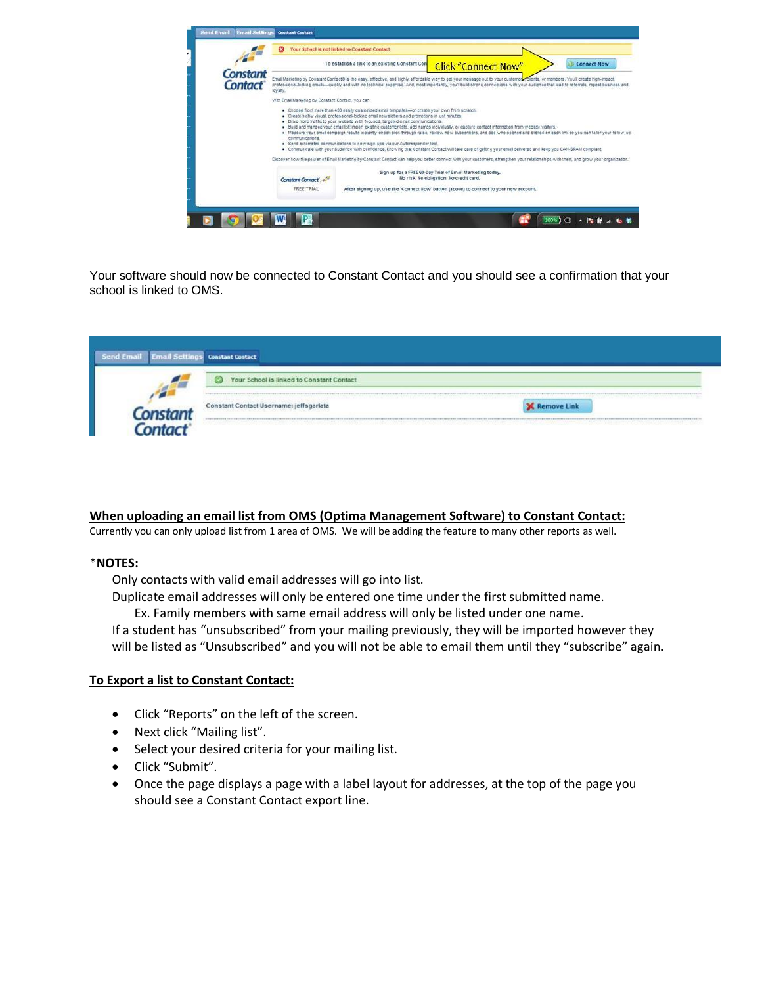

Your software should now be connected to Constant Contact and you should see a confirmation that your school is linked to OMS.

| <b>Send Email</b> | <b>Email Settings Constant Contact</b>         |                    |
|-------------------|------------------------------------------------|--------------------|
|                   | Your School is linked to Constant Contact<br>c |                    |
|                   | Constant Contact Username: jeffsgarlata        | <b>Remove Link</b> |
|                   |                                                |                    |

#### <span id="page-1-0"></span>**When uploading an email list from OMS (Optima Management Software) to Constant Contact:**

Currently you can only upload list from 1 area of OMS. We will be adding the feature to many other reports as well.

#### \***NOTES:**

Only contacts with valid email addresses will go into list.

Duplicate email addresses will only be entered one time under the first submitted name.

Ex. Family members with same email address will only be listed under one name. If a student has "unsubscribed" from your mailing previously, they will be imported however they will be listed as "Unsubscribed" and you will not be able to email them until they "subscribe" again.

#### **To Export a list to Constant Contact:**

- Click "Reports" on the left of the screen.
- Next click "Mailing list".
- Select your desired criteria for your mailing list.
- Click "Submit".
- Once the page displays a page with a label layout for addresses, at the top of the page you should see a Constant Contact export line.